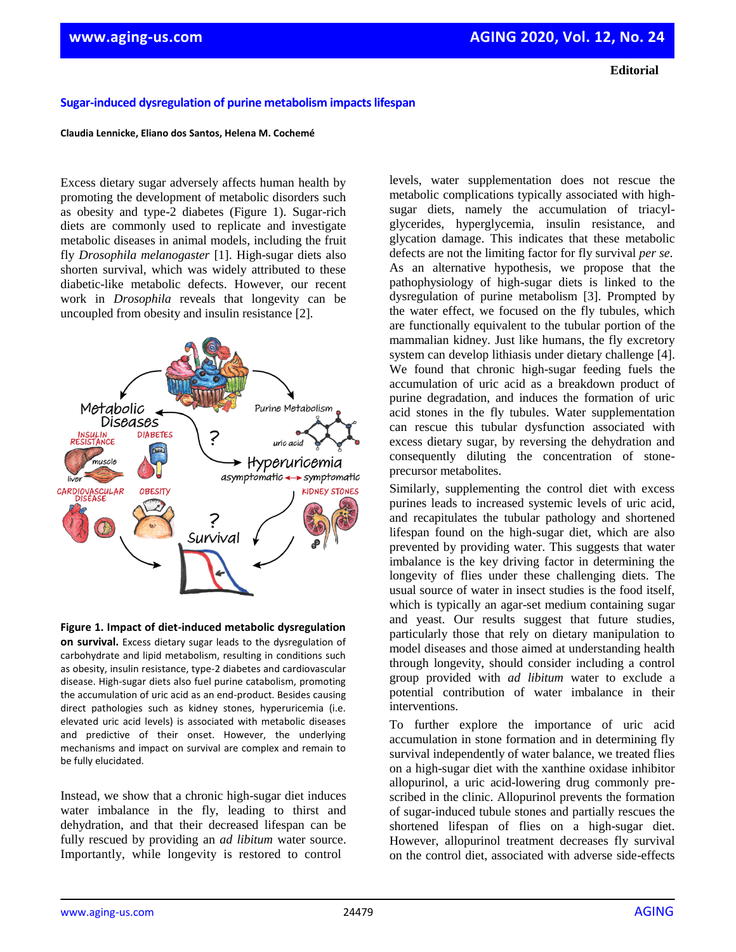**Editorial**

## **Sugar-induced dysregulation of purine metabolism impacts lifespan**

## **Claudia Lennicke, Eliano dos Santos, Helena M. Cochemé**

Excess dietary sugar adversely affects human health by promoting the development of metabolic disorders such as obesity and type-2 diabetes (Figure 1). Sugar-rich diets are commonly used to replicate and investigate metabolic diseases in animal models, including the fruit fly *Drosophila melanogaster* [1]. High-sugar diets also shorten survival, which was widely attributed to these diabetic-like metabolic defects. However, our recent work in *Drosophila* reveals that longevity can be uncoupled from obesity and insulin resistance [2].



**Figure 1. Impact of diet-induced metabolic dysregulation on survival.** Excess dietary sugar leads to the dysregulation of carbohydrate and lipid metabolism, resulting in conditions such as obesity, insulin resistance, type-2 diabetes and cardiovascular disease. High-sugar diets also fuel purine catabolism, promoting the accumulation of uric acid as an end-product. Besides causing direct pathologies such as kidney stones, hyperuricemia (i.e. elevated uric acid levels) is associated with metabolic diseases and predictive of their onset. However, the underlying mechanisms and impact on survival are complex and remain to be fully elucidated.

Instead, we show that a chronic high-sugar diet induces water imbalance in the fly, leading to thirst and dehydration, and that their decreased lifespan can be fully rescued by providing an *ad libitum* water source. Importantly, while longevity is restored to control

levels, water supplementation does not rescue the metabolic complications typically associated with highsugar diets, namely the accumulation of triacylglycerides, hyperglycemia, insulin resistance, and glycation damage. This indicates that these metabolic defects are not the limiting factor for fly survival *per se*. As an alternative hypothesis, we propose that the pathophysiology of high-sugar diets is linked to the dysregulation of purine metabolism [3]. Prompted by the water effect, we focused on the fly tubules, which are functionally equivalent to the tubular portion of the mammalian kidney. Just like humans, the fly excretory system can develop lithiasis under dietary challenge [4]. We found that chronic high-sugar feeding fuels the accumulation of uric acid as a breakdown product of purine degradation, and induces the formation of uric acid stones in the fly tubules. Water supplementation can rescue this tubular dysfunction associated with excess dietary sugar, by reversing the dehydration and consequently diluting the concentration of stoneprecursor metabolites.

Similarly, supplementing the control diet with excess purines leads to increased systemic levels of uric acid, and recapitulates the tubular pathology and shortened lifespan found on the high-sugar diet, which are also prevented by providing water. This suggests that water imbalance is the key driving factor in determining the longevity of flies under these challenging diets. The usual source of water in insect studies is the food itself, which is typically an agar-set medium containing sugar and yeast. Our results suggest that future studies, particularly those that rely on dietary manipulation to model diseases and those aimed at understanding health through longevity, should consider including a control group provided with *ad libitum* water to exclude a potential contribution of water imbalance in their interventions.

To further explore the importance of uric acid accumulation in stone formation and in determining fly survival independently of water balance, we treated flies on a high-sugar diet with the xanthine oxidase inhibitor allopurinol, a uric acid-lowering drug commonly prescribed in the clinic. Allopurinol prevents the formation of sugar-induced tubule stones and partially rescues the shortened lifespan of flies on a high-sugar diet. However, allopurinol treatment decreases fly survival on the control diet, associated with adverse side-effects